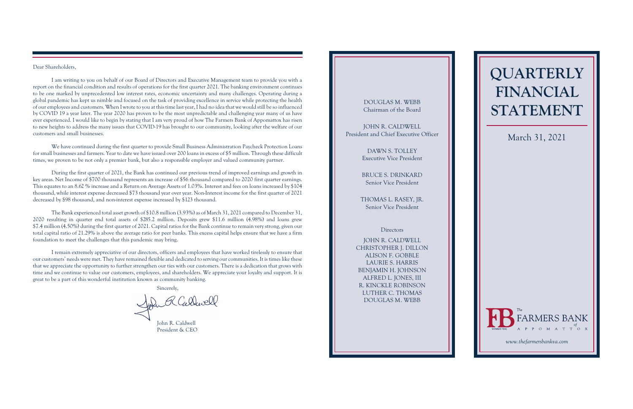# **QUARTERLY FINANCIAL STATEMENT**

#### Dear Shareholders,

I am writing to you on behalf of our Board of Directors and Executive Management team to provide you with a report on the financial condition and results of operations for the first quarter 2021. The banking environment continues to be one marked by unprecedented low interest rates, economic uncertainty and many challenges. Operating during a global pandemic has kept us nimble and focused on the task of providing excellence in service while protecting the health of our employees and customers. When I wrote to you at this time lastyear, I had no idea that we would still be so influenced by COVID 19 a year later. The year 2020 has proven to be the most unpredictable and challenging year many of us have ever experienced. I would like to begin by stating that I am very proud of how The Farmers Bank of Appomattox has risen to new heights to address the many issues that COVID-19 has brought to our community, looking after the welfare of our customers and small businesses.

We have continued during the first quarter to provide Small Business Administration Paycheck Protection Loans for small businesses and farmers. Year to date we have issued over 200 loans in excess of \$5 million. Through these difficult times, we proven to be not only a premier bank, but also a responsible employer and valued community partner.

During the first quarter of 2021, the Bank has continued our previous trend of improved earnings and growth in key areas. Net Income of \$700 thousand represents an increase of \$56 thousand compared to 2020 first quarter earnings. This equates to an 8.62 % increase and a Return on Average Assets of 1.03%. Interest and fees on loans increased by \$104 thousand, while interest expense decreased \$73 thousand year over year. Non-Interest income for the first quarter of 2021 decreased by \$98 thousand, and non-interest expense increased by \$123 thousand.

The Bank experienced total asset growth of \$10.8 million (3.93%) as of March 31, 2021 compared to December 31, 2020 resulting in quarter end total assets of \$285.2 million. Deposits grew \$11.6 million (4.98%) and loans grew \$7.4 million (4.50%) during the first quarter of 2021. Capital ratios for the Bank continue to remain verystrong, given our total capital ratio of 21.29% is above the average ratio for peer banks. This excess capital helps ensure that we have a firm foundation to meet the challenges that this pandemic may bring.

I remain extremely appreciative of our directors, officers and employees that have worked tirelessly to ensure that our customers' needs were met. They have remained flexible and dedicated to serving our communities. It is times like these that we appreciate the opportunity to further strengthen our ties with our customers. There is a dedication that grows with time and we continue to value our customers, employees, and shareholders. We appreciate your loyalty and support. It is great to be a part of this wonderful institution known as community banking.

Sincerely,

John R Callwell John R. Caldwell

### DOUGLAS M. WEBB Chairman of the Board

JOHN R. CALDWELL President and Chief Executive Officer

> DAWN S. TOLLEY Executive Vice President

BRUCE S. DRINKARD Senior Vice President

THOMAS L. RASEY, JR. Senior Vice President

### **Directors**

JOHN R. CALDWELL CHRISTOPHER J. DILLON ALISON F. GOBBLE LAURIE S. HARRIS BENJAMIN H. JOHNSON ALFRED L. JONES, III R. KINCKLE ROBINSON LUTHER C. THOMAS DOUGLAS M. WEBB

## March 31, 2021



President & CEO

*[www.thefarmersbankva.com](https://www.thefarmersbankva.com)*